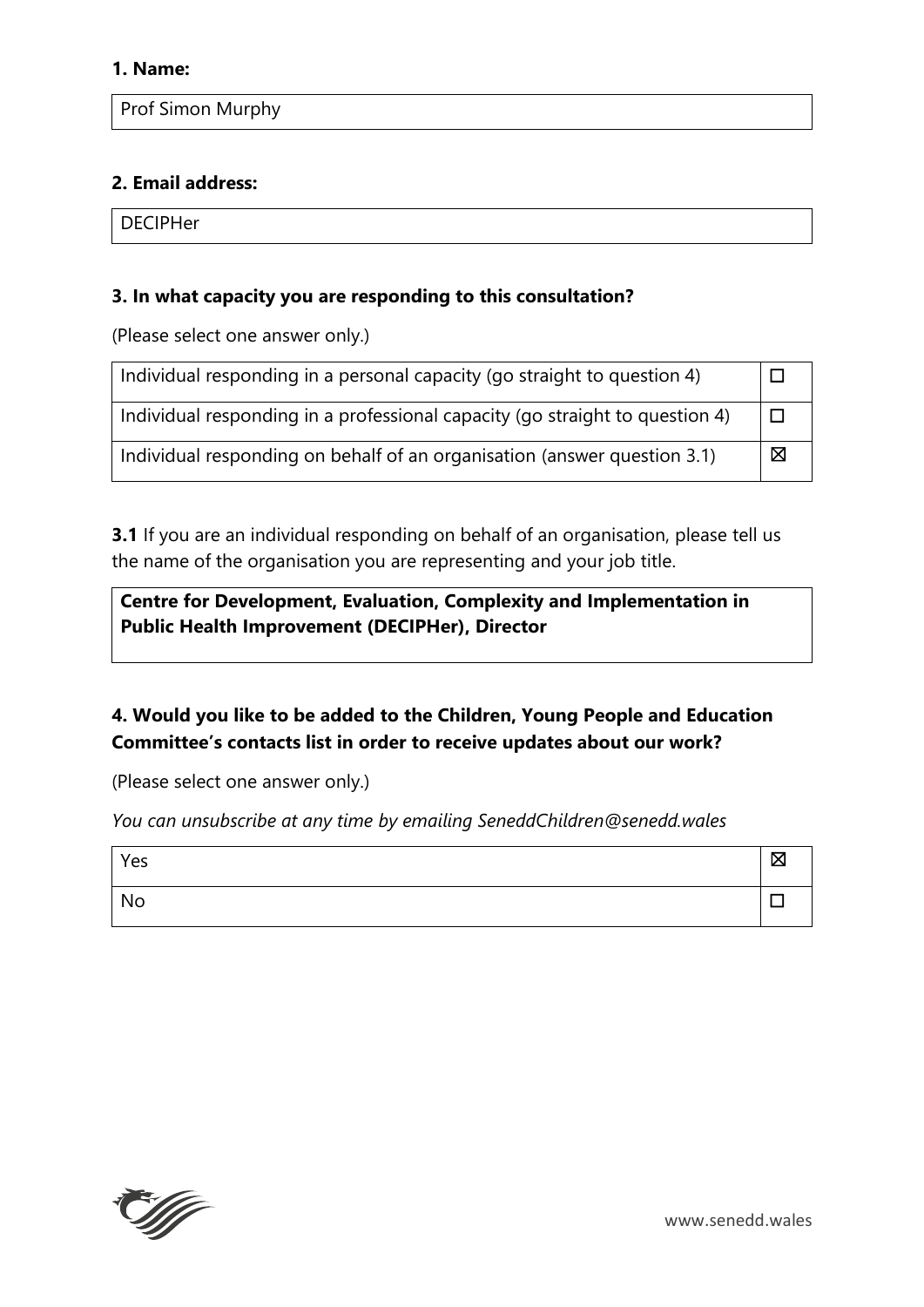Prof Simon Murphy

## **2. Email address:**

**DECIPHer** 

### **3. In what capacity you are responding to this consultation?**

(Please select one answer only.)

| Individual responding in a personal capacity (go straight to question 4)     |   |
|------------------------------------------------------------------------------|---|
| Individual responding in a professional capacity (go straight to question 4) |   |
| Individual responding on behalf of an organisation (answer question 3.1)     | ⊠ |

**3.1** If you are an individual responding on behalf of an organisation, please tell us the name of the organisation you are representing and your job title.

**Centre for Development, Evaluation, Complexity and Implementation in Public Health Improvement (DECIPHer), Director**

# **4. Would you like to be added to the Children, Young People and Education Committee's contacts list in order to receive updates about our work?**

(Please select one answer only.)

*You can unsubscribe at any time by emailing SeneddChildren@senedd.wales*

| Yes |  |
|-----|--|
| No  |  |

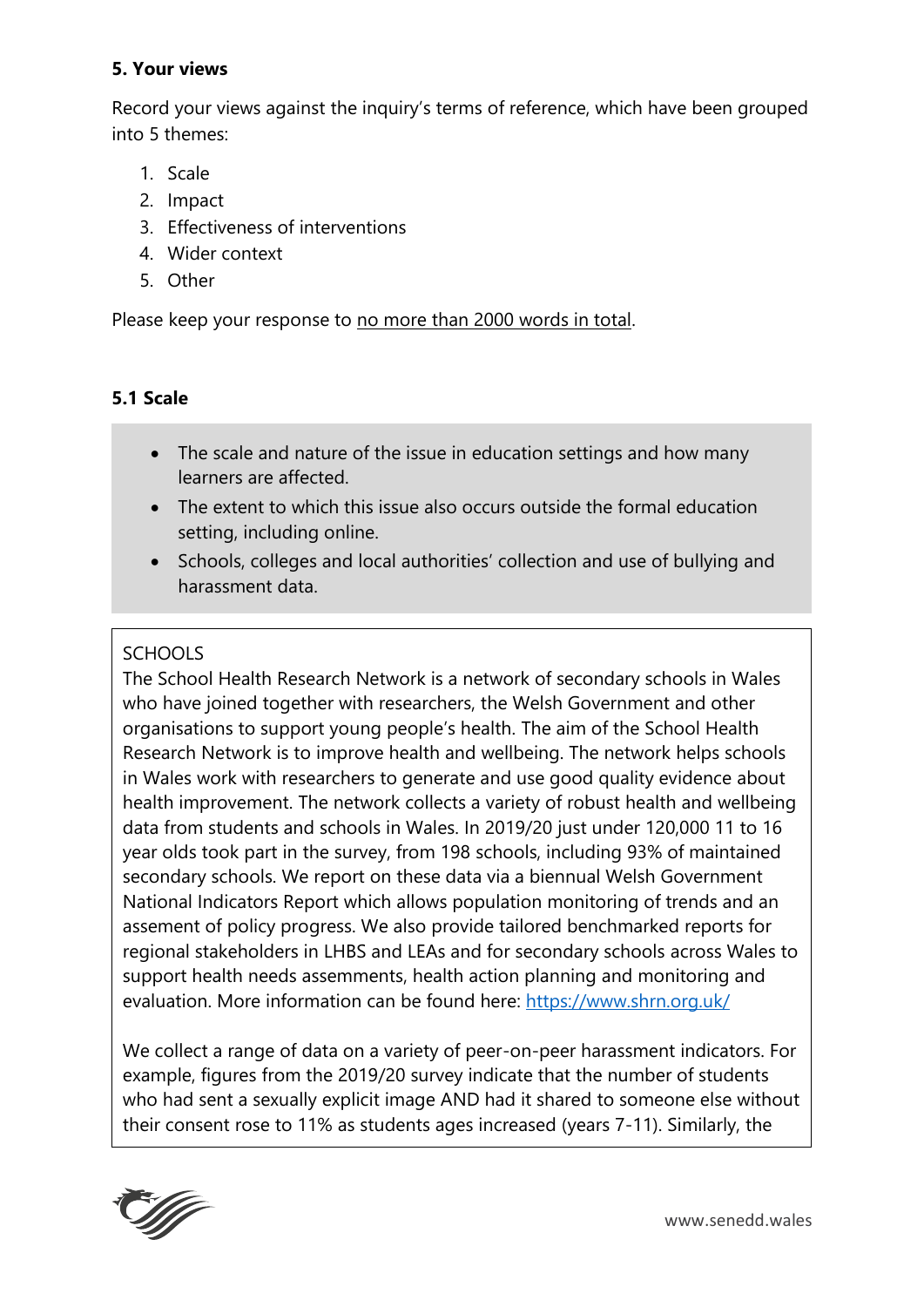## **5. Your views**

Record your views against the inquiry's terms of reference, which have been grouped into 5 themes:

- 1. Scale
- 2. Impact
- 3. Effectiveness of interventions
- 4. Wider context
- 5. Other

Please keep your response to no more than 2000 words in total.

## **5.1 Scale**

- The scale and nature of the issue in education settings and how many learners are affected.
- The extent to which this issue also occurs outside the formal education setting, including online.
- Schools, colleges and local authorities' collection and use of bullying and harassment data.

## SCHOOLS

The School Health Research Network is a network of secondary schools in Wales who have joined together with researchers, the Welsh Government and other organisations to support young people's health. The aim of the School Health Research Network is to improve health and wellbeing. The network helps schools in Wales work with researchers to generate and use good quality evidence about health improvement. The network collects a variety of robust health and wellbeing data from students and schools in Wales. In 2019/20 just under 120,000 11 to 16 year olds took part in the survey, from 198 schools, including 93% of maintained secondary schools. We report on these data via a biennual Welsh Government National Indicators Report which allows population monitoring of trends and an assement of policy progress. We also provide tailored benchmarked reports for regional stakeholders in LHBS and LEAs and for secondary schools across Wales to support health needs assemments, health action planning and monitoring and evaluation. More information can be found here:<https://www.shrn.org.uk/>

We collect a range of data on a variety of peer-on-peer harassment indicators. For example, figures from the 2019/20 survey indicate that the number of students who had sent a sexually explicit image AND had it shared to someone else without their consent rose to 11% as students ages increased (years 7-11). Similarly, the

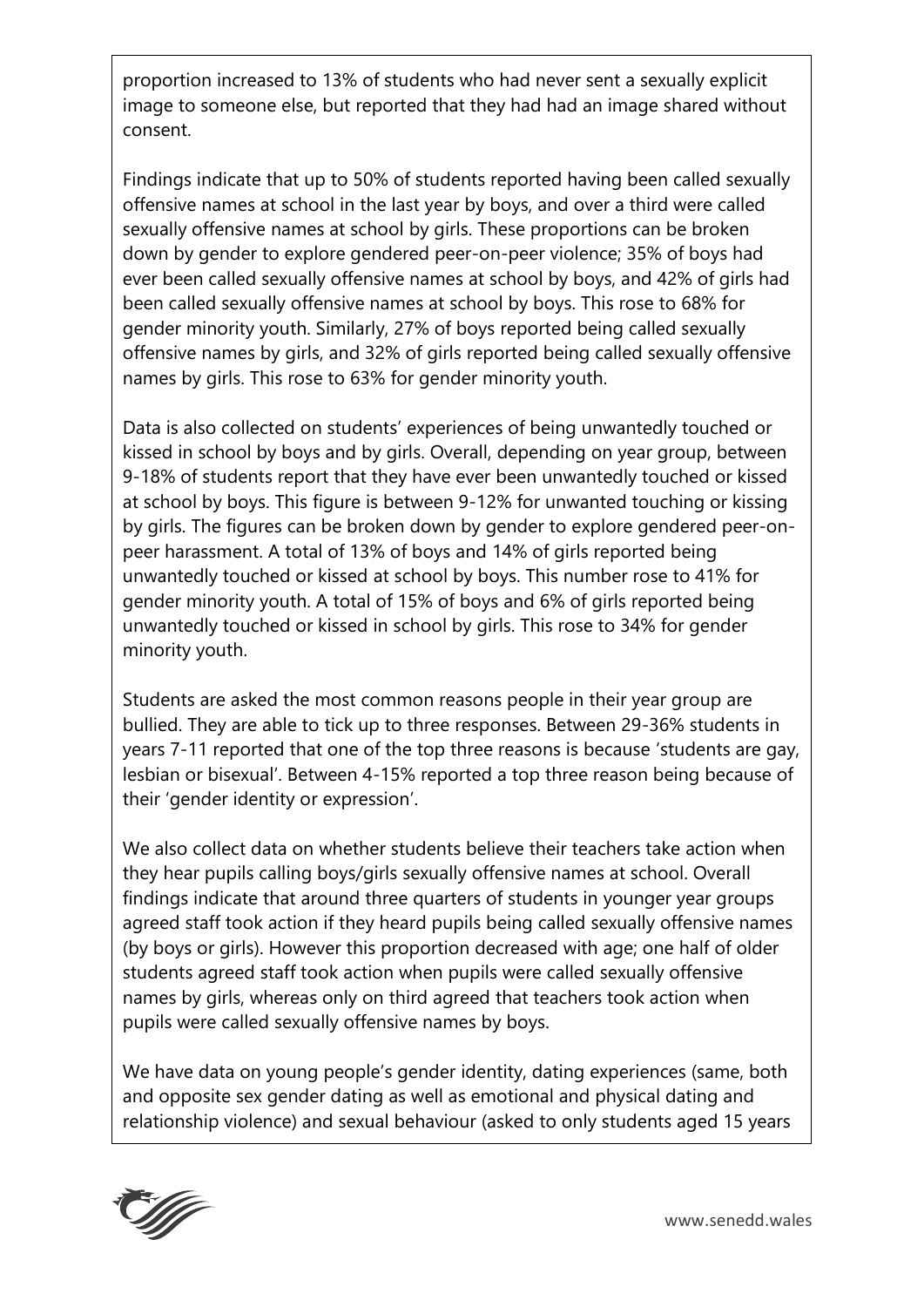proportion increased to 13% of students who had never sent a sexually explicit image to someone else, but reported that they had had an image shared without consent.

Findings indicate that up to 50% of students reported having been called sexually offensive names at school in the last year by boys, and over a third were called sexually offensive names at school by girls. These proportions can be broken down by gender to explore gendered peer-on-peer violence; 35% of boys had ever been called sexually offensive names at school by boys, and 42% of girls had been called sexually offensive names at school by boys. This rose to 68% for gender minority youth. Similarly, 27% of boys reported being called sexually offensive names by girls, and 32% of girls reported being called sexually offensive names by girls. This rose to 63% for gender minority youth.

Data is also collected on students' experiences of being unwantedly touched or kissed in school by boys and by girls. Overall, depending on year group, between 9-18% of students report that they have ever been unwantedly touched or kissed at school by boys. This figure is between 9-12% for unwanted touching or kissing by girls. The figures can be broken down by gender to explore gendered peer-onpeer harassment. A total of 13% of boys and 14% of girls reported being unwantedly touched or kissed at school by boys. This number rose to 41% for gender minority youth. A total of 15% of boys and 6% of girls reported being unwantedly touched or kissed in school by girls. This rose to 34% for gender minority youth.

Students are asked the most common reasons people in their year group are bullied. They are able to tick up to three responses. Between 29-36% students in years 7-11 reported that one of the top three reasons is because 'students are gay, lesbian or bisexual'. Between 4-15% reported a top three reason being because of their 'gender identity or expression'.

We also collect data on whether students believe their teachers take action when they hear pupils calling boys/girls sexually offensive names at school. Overall findings indicate that around three quarters of students in younger year groups agreed staff took action if they heard pupils being called sexually offensive names (by boys or girls). However this proportion decreased with age; one half of older students agreed staff took action when pupils were called sexually offensive names by girls, whereas only on third agreed that teachers took action when pupils were called sexually offensive names by boys.

We have data on young people's gender identity, dating experiences (same, both and opposite sex gender dating as well as emotional and physical dating and relationship violence) and sexual behaviour (asked to only students aged 15 years

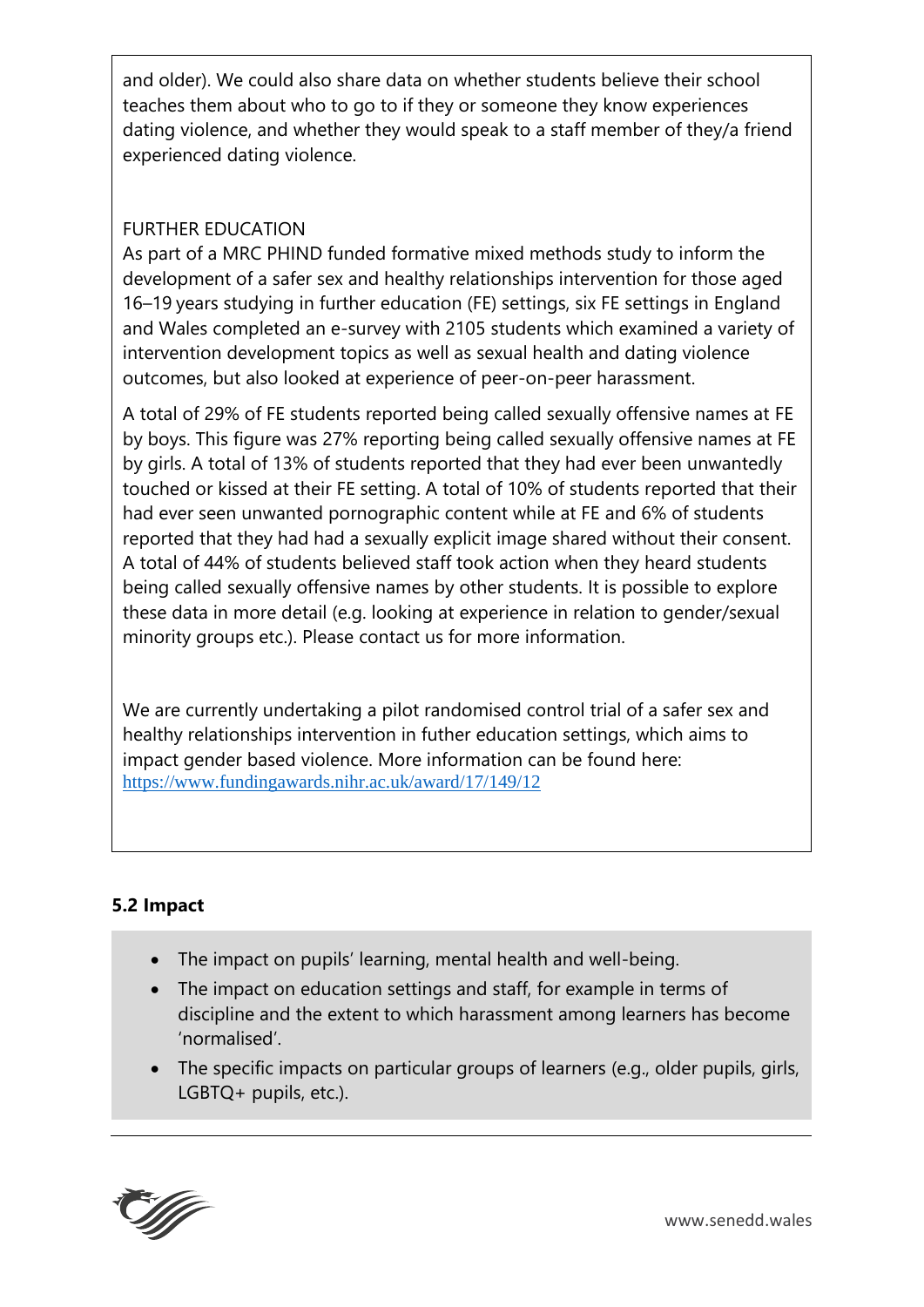and older). We could also share data on whether students believe their school teaches them about who to go to if they or someone they know experiences dating violence, and whether they would speak to a staff member of they/a friend experienced dating violence.

# FURTHER EDUCATION

As part of a MRC PHIND funded formative mixed methods study to inform the development of a safer sex and healthy relationships intervention for those aged 16–19 years studying in further education (FE) settings, six FE settings in England and Wales completed an e-survey with 2105 students which examined a variety of intervention development topics as well as sexual health and dating violence outcomes, but also looked at experience of peer-on-peer harassment.

A total of 29% of FE students reported being called sexually offensive names at FE by boys. This figure was 27% reporting being called sexually offensive names at FE by girls. A total of 13% of students reported that they had ever been unwantedly touched or kissed at their FE setting. A total of 10% of students reported that their had ever seen unwanted pornographic content while at FE and 6% of students reported that they had had a sexually explicit image shared without their consent. A total of 44% of students believed staff took action when they heard students being called sexually offensive names by other students. It is possible to explore these data in more detail (e.g. looking at experience in relation to gender/sexual minority groups etc.). Please contact us for more information.

We are currently undertaking a pilot randomised control trial of a safer sex and healthy relationships intervention in futher education settings, which aims to impact gender based violence. More information can be found here: <https://www.fundingawards.nihr.ac.uk/award/17/149/12>

# **5.2 Impact**

- The impact on pupils' learning, mental health and well-being.
- The impact on education settings and staff, for example in terms of discipline and the extent to which harassment among learners has become 'normalised'.
- The specific impacts on particular groups of learners (e.g., older pupils, girls, LGBTQ+ pupils, etc.).

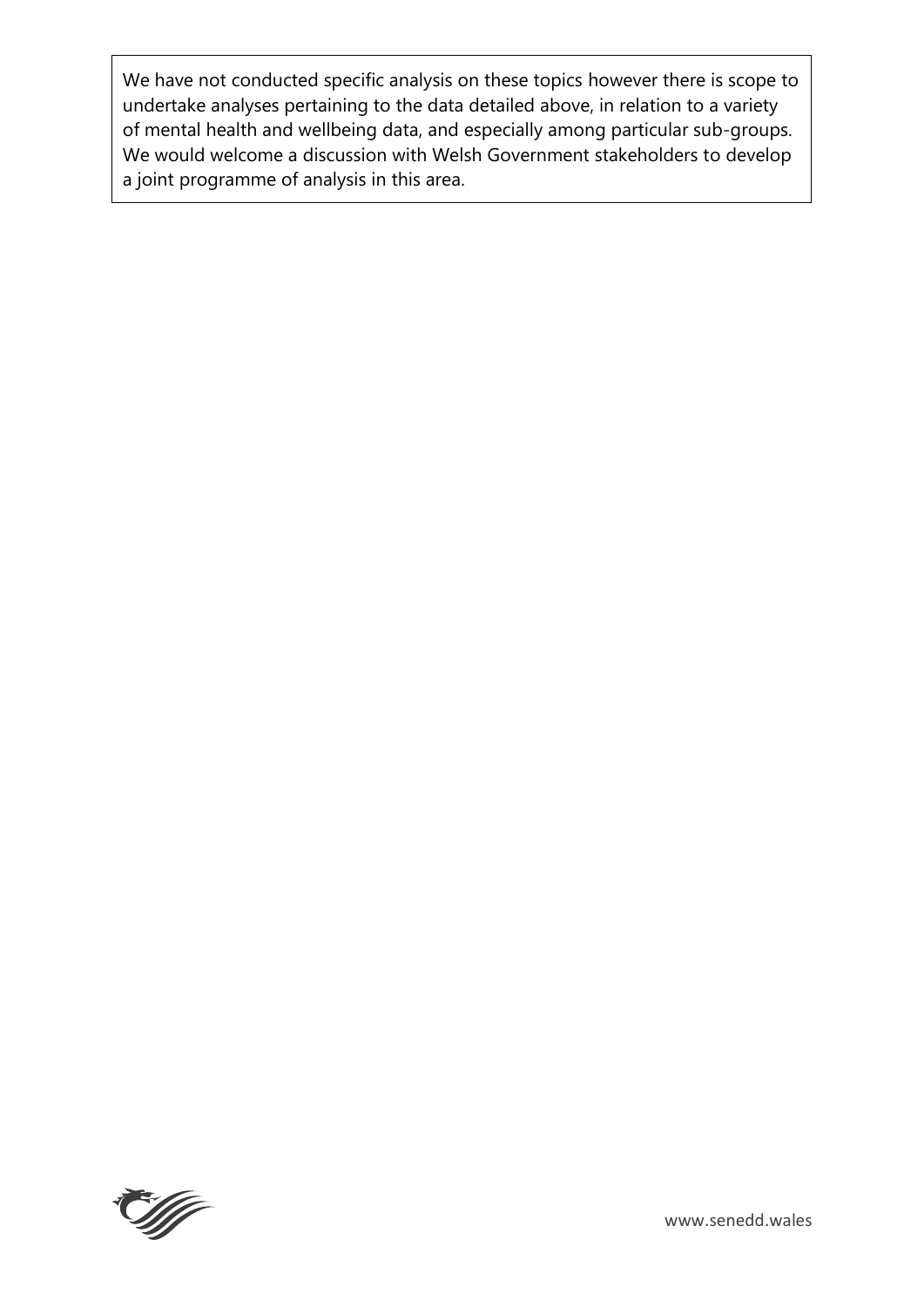We have not conducted specific analysis on these topics however there is scope to undertake analyses pertaining to the data detailed above, in relation to a variety of mental health and wellbeing data, and especially among particular sub-groups. We would welcome a discussion with Welsh Government stakeholders to develop a joint programme of analysis in this area.

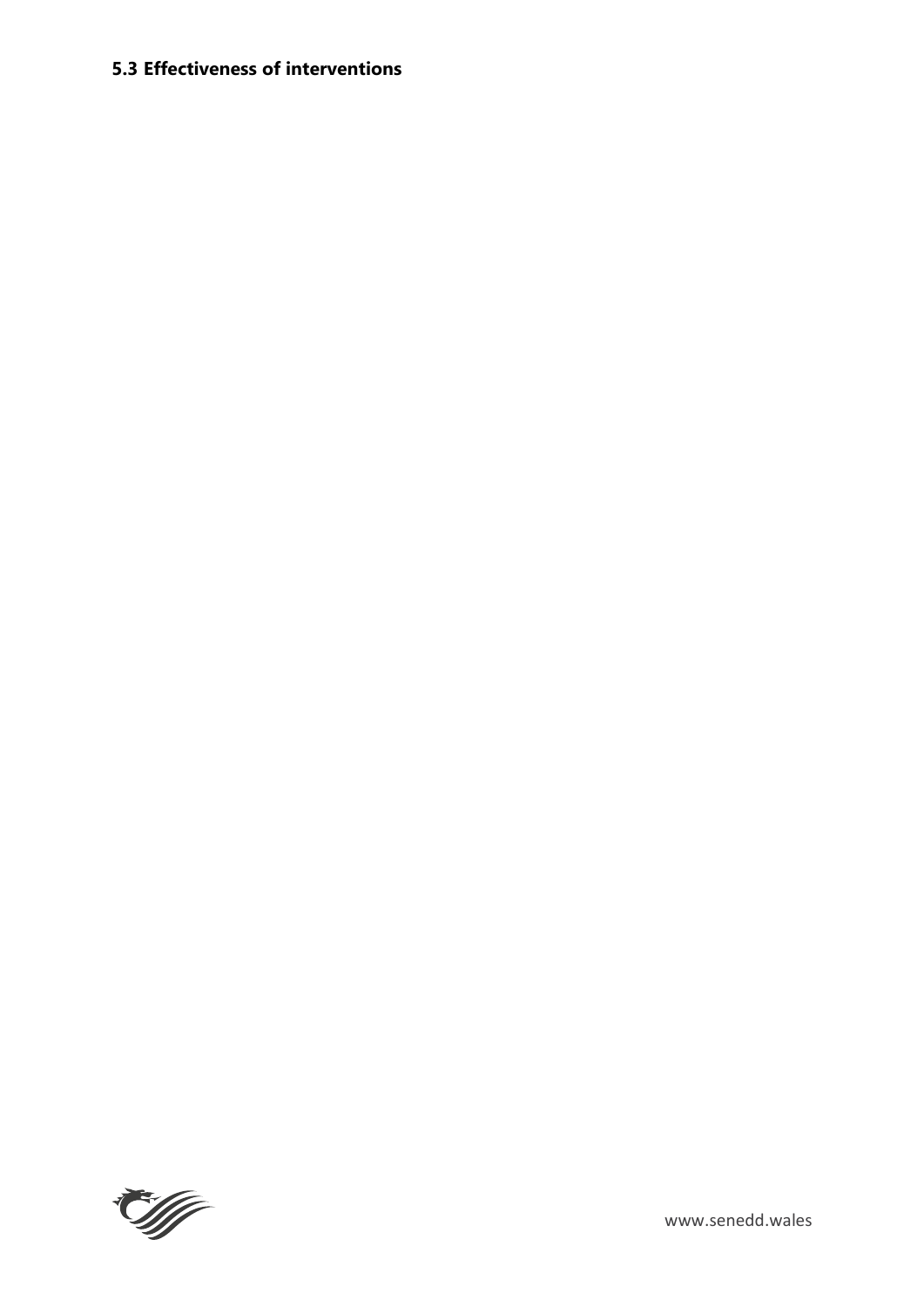# **5.3 Effectiveness of interventions**

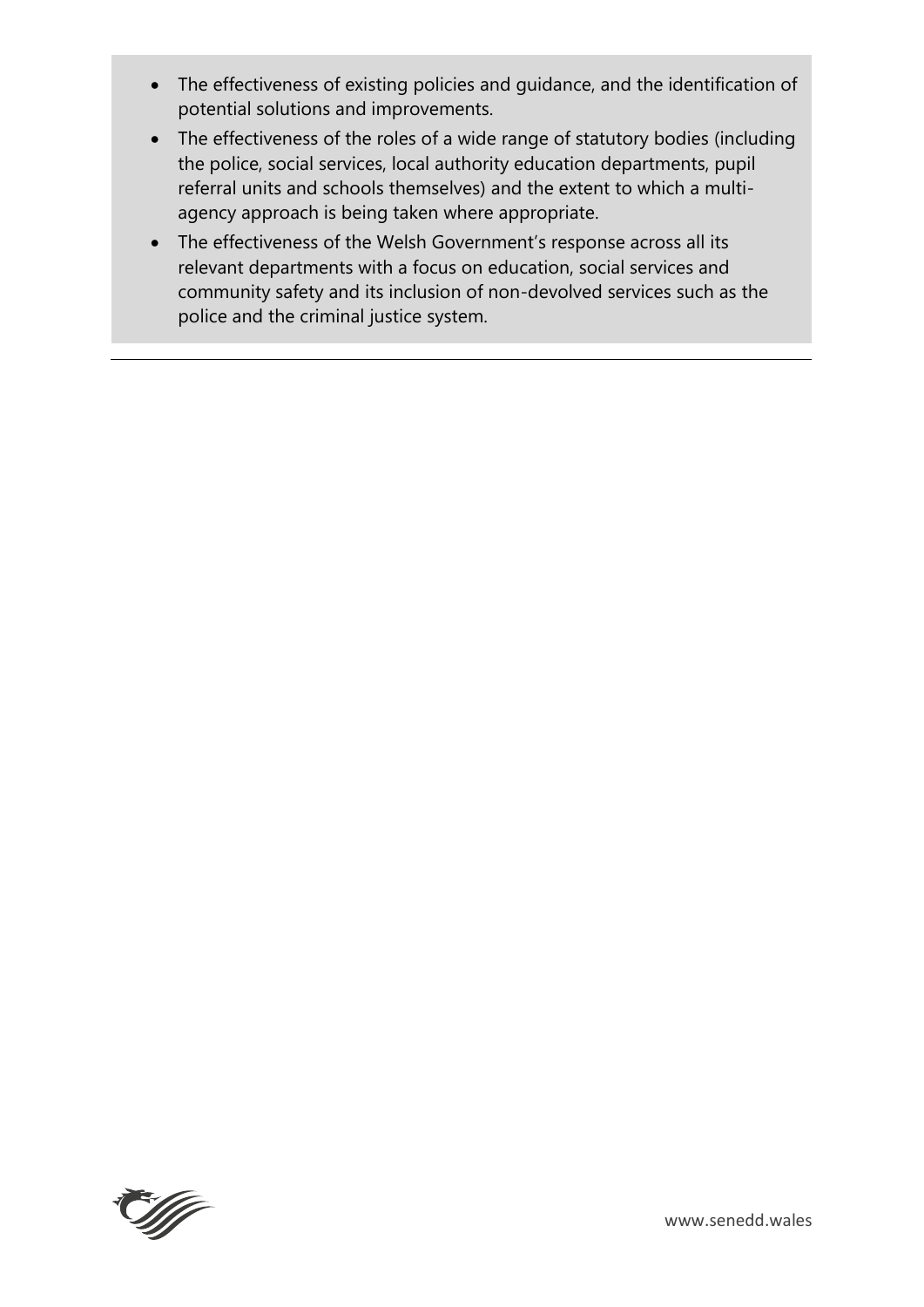- The effectiveness of existing policies and guidance, and the identification of potential solutions and improvements.
- The effectiveness of the roles of a wide range of statutory bodies (including the police, social services, local authority education departments, pupil referral units and schools themselves) and the extent to which a multiagency approach is being taken where appropriate.
- The effectiveness of the Welsh Government's response across all its relevant departments with a focus on education, social services and community safety and its inclusion of non-devolved services such as the police and the criminal justice system.

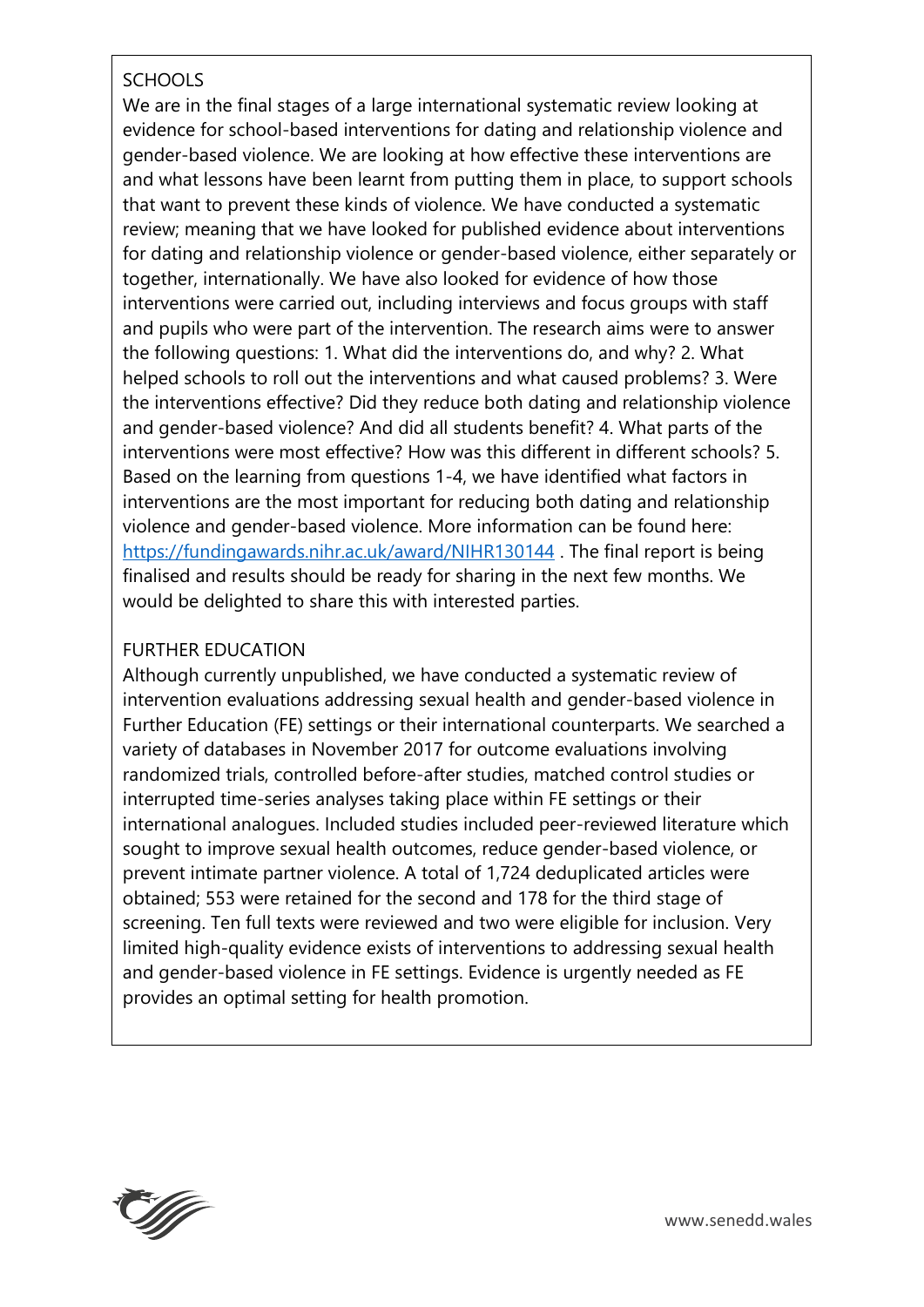# **SCHOOLS**

We are in the final stages of a large international systematic review looking at evidence for school-based interventions for dating and relationship violence and gender-based violence. We are looking at how effective these interventions are and what lessons have been learnt from putting them in place, to support schools that want to prevent these kinds of violence. We have conducted a systematic review; meaning that we have looked for published evidence about interventions for dating and relationship violence or gender-based violence, either separately or together, internationally. We have also looked for evidence of how those interventions were carried out, including interviews and focus groups with staff and pupils who were part of the intervention. The research aims were to answer the following questions: 1. What did the interventions do, and why? 2. What helped schools to roll out the interventions and what caused problems? 3. Were the interventions effective? Did they reduce both dating and relationship violence and gender-based violence? And did all students benefit? 4. What parts of the interventions were most effective? How was this different in different schools? 5. Based on the learning from questions 1-4, we have identified what factors in interventions are the most important for reducing both dating and relationship violence and gender-based violence. More information can be found here: <https://fundingawards.nihr.ac.uk/award/NIHR130144> . The final report is being finalised and results should be ready for sharing in the next few months. We would be delighted to share this with interested parties.

## FURTHER EDUCATION

Although currently unpublished, we have conducted a systematic review of intervention evaluations addressing sexual health and gender-based violence in Further Education (FE) settings or their international counterparts. We searched a variety of databases in November 2017 for outcome evaluations involving randomized trials, controlled before-after studies, matched control studies or interrupted time-series analyses taking place within FE settings or their international analogues. Included studies included peer-reviewed literature which sought to improve sexual health outcomes, reduce gender-based violence, or prevent intimate partner violence. A total of 1,724 deduplicated articles were obtained; 553 were retained for the second and 178 for the third stage of screening. Ten full texts were reviewed and two were eligible for inclusion. Very limited high-quality evidence exists of interventions to addressing sexual health and gender-based violence in FE settings. Evidence is urgently needed as FE provides an optimal setting for health promotion.

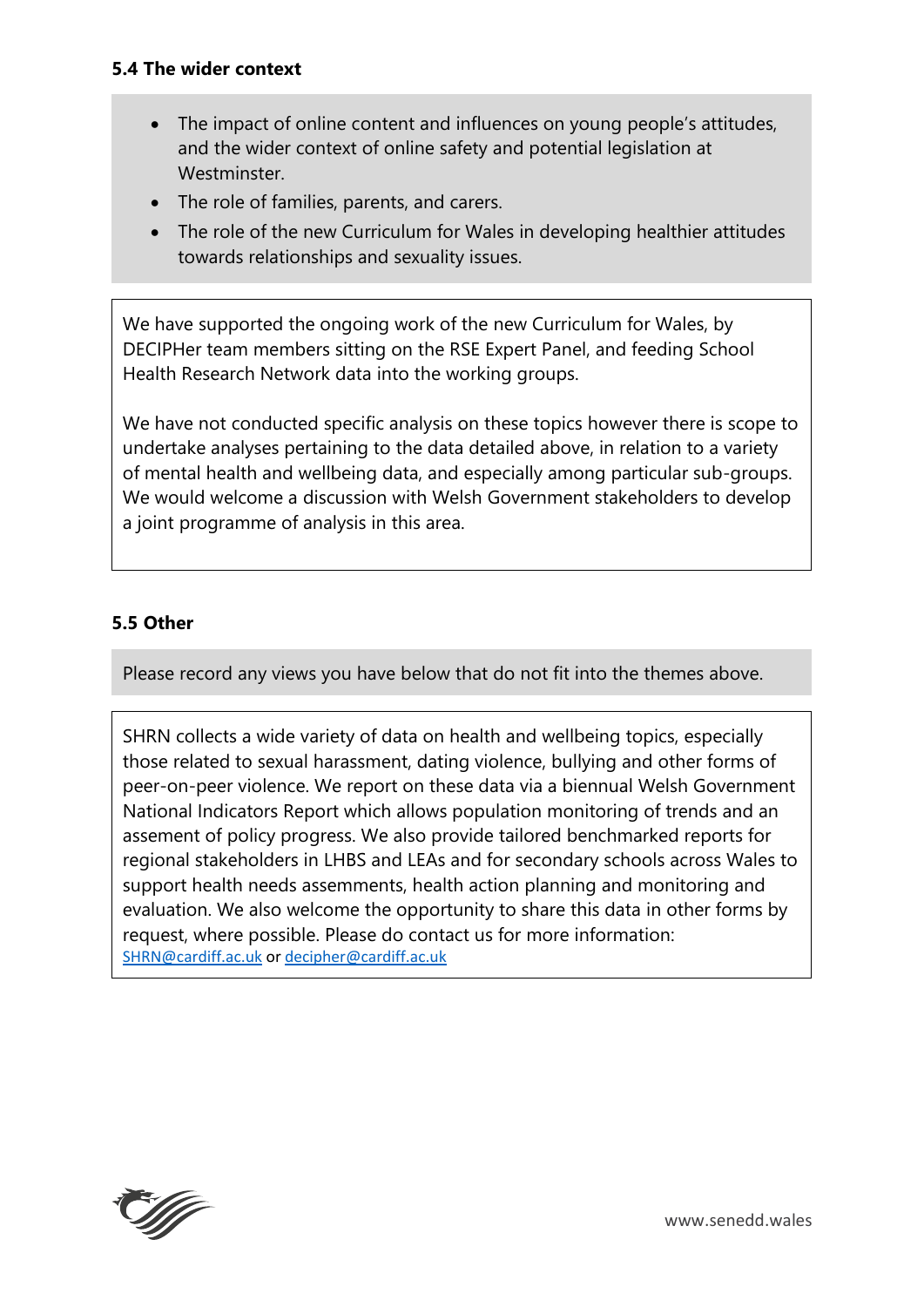### **5.4 The wider context**

- The impact of online content and influences on young people's attitudes, and the wider context of online safety and potential legislation at Westminster.
- The role of families, parents, and carers.
- The role of the new Curriculum for Wales in developing healthier attitudes towards relationships and sexuality issues.

We have supported the ongoing work of the new Curriculum for Wales, by DECIPHer team members sitting on the RSE Expert Panel, and feeding School Health Research Network data into the working groups.

We have not conducted specific analysis on these topics however there is scope to undertake analyses pertaining to the data detailed above, in relation to a variety of mental health and wellbeing data, and especially among particular sub-groups. We would welcome a discussion with Welsh Government stakeholders to develop a joint programme of analysis in this area.

## **5.5 Other**

Please record any views you have below that do not fit into the themes above.

SHRN collects a wide variety of data on health and wellbeing topics, especially those related to sexual harassment, dating violence, bullying and other forms of peer-on-peer violence. We report on these data via a biennual Welsh Government National Indicators Report which allows population monitoring of trends and an assement of policy progress. We also provide tailored benchmarked reports for regional stakeholders in LHBS and LEAs and for secondary schools across Wales to support health needs assemments, health action planning and monitoring and evaluation. We also welcome the opportunity to share this data in other forms by request, where possible. Please do contact us for more information: [SHRN@cardiff.ac.uk](mailto:SHRN@cardiff.ac.uk) o[r decipher@cardiff.ac.uk](mailto:decipher@cardiff.ac.uk)